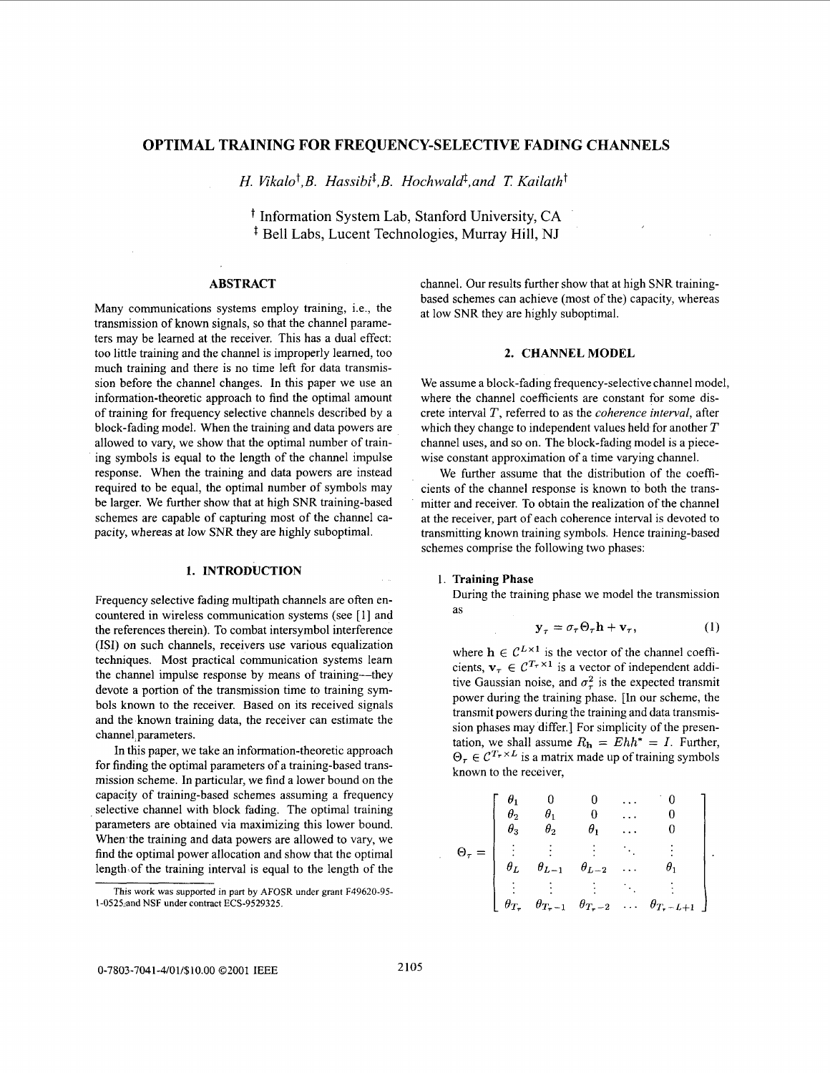# **OPTIMAL TRAINING FOR FREQUENCY-SELECTIVE FADING CHANNELS**

*H. Vikalo<sup>†</sup>,B. Hassibi<sup>‡</sup>,B. Hochwald<sup>‡</sup>,and <i>T. Kailath*<sup>†</sup>

t Information System Lab, Stanford University, **CA**  <sup> $\ddagger$ </sup> Bell Labs, Lucent Technologies, Murray Hill, NJ

# **ABSTRACT**

Many communications systems employ training, i.e., the transmission of known signals, so that the channel parameters may be learned at the receiver. This has a dual effect: too little training and the channel is improperly learned, too much training and there is no time left for data transmission before the channel changes. In this paper we use an information-theoretic approach to find the optimal amount of training for frequency selective channels described by a block-fading model. When the training and data powers are allowed to vary, we show that the optimal number of training symbols is equal to the length of the channel impulse response. When the training and data powers are instead required to be equal, the optimal number of symbols may be larger. We further show that at high SNR training-based schemes are capable of capturing most of the channel capacity, whereas at low SNR they are highly suboptimal.

# **1. INTRODUCTION**

Frequency selective fading multipath channels are often encountered in wireless communication systems (see [ 11 and the references therein). To combat intersymbol interference (ISI) on such channels, receivers use various equalization techniques. Most practical communication systems learn the channel impulse response by means of training---they devote a portion of the transmission time to training symbols known to the receiver. Based on its received signals and the known training data, the receiver can estimate the channel parameters.

In this paper, we take an information-theoretic approach for finding the optimal parameters of a training-based transmission scheme. In particular, we find a lower bound on the capacify of training-based schemes assuming a frequency selective channel with block fading. The optimal training parameters are obtained via maximizing this lower bound. When the training and data powers are allowed to vary, we find the optimal power allocation and show that the optimal length of the training interval is equal to the length of the channel. Our results further show that at high SNR trainingbased schemes can achieve (most of the) capacity, whereas at low SNR they are highly suboptimal.

### **2. CHANNEL MODEL**

We assume a block-fading frequency-selective channel model, where the channel coefficients are constant for some discrete interval *T,* referred to as the *coherence interval,* after which they change to independent values held for another *T*  channel uses, and so on. The block-fading model is a piecewise constant approximation of a time varying channel.

We further assume that the distribution of the coefficients of the channel response is known to both the transmitter and receiver. To obtain the realization of the channel at the receiver, part of each coherence interval is devoted to transmitting known training symbols. Hence training-based schemes comprise the following two phases:

#### **<sup>1</sup>Training Phase**

During the training phase we model the transmission<br>as<br> $y_{\tau} = \sigma_{\tau} \Theta_{\tau} h + v_{\tau},$  (1) as

$$
\mathbf{y}_{\tau} = \sigma_{\tau} \Theta_{\tau} \mathbf{h} + \mathbf{v}_{\tau}, \tag{1}
$$

where  $h \in C^{L \times 1}$  is the vector of the channel coefficients,  $\mathbf{v}_{\tau} \in \mathcal{C}^{T_{\tau} \times 1}$  is a vector of independent additive Gaussian noise, and  $\sigma_{\tau}^2$  is the expected transmit power during the training phase. [In our scheme, the transmit powers during the training and data transmission phases may differ.] For simplicity of the presentation, we shall assume  $R_h = Ehh^* = I$ . Further,  $\Theta_{\tau} \in C^{T_{\tau} \times L}$  is a matrix made up of training symbols known to the receiver,

$$
\Theta_{\tau} = \left[ \begin{array}{ccccc} \theta_1 & 0 & 0 & \cdots & 0 \\ \theta_2 & \theta_1 & 0 & \cdots & 0 \\ \theta_3 & \theta_2 & \theta_1 & \cdots & 0 \\ \vdots & \vdots & \vdots & \ddots & \vdots \\ \theta_L & \theta_{L-1} & \theta_{L-2} & \cdots & \theta_1 \\ \vdots & \vdots & \vdots & \ddots & \vdots \\ \theta_{T_{\tau}} & \theta_{T_{\tau}-1} & \theta_{T_{\tau}-2} & \cdots & \theta_{T_{\tau}-L+1} \end{array} \right].
$$

This work **was** supported in part by AFOSR under grant F49620-95- 1-0525:and NSF under contract ECS-9529325.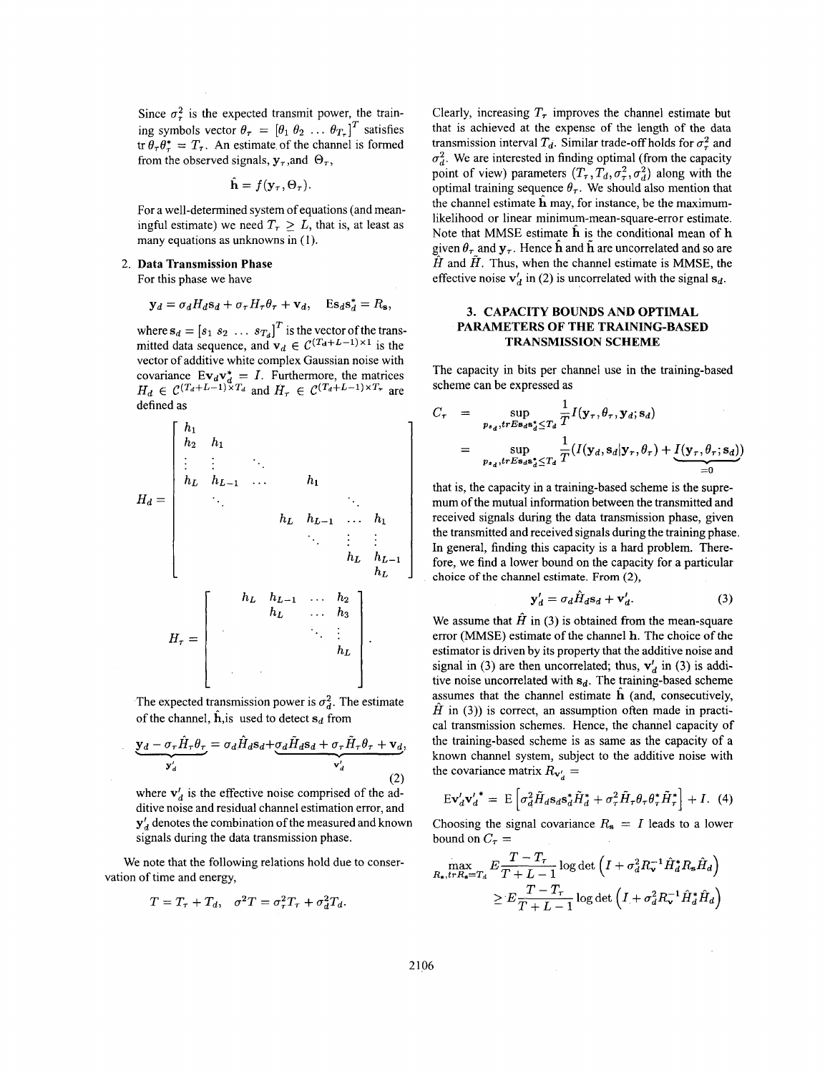Since  $\sigma_r^2$  is the expected transmit power, the training symbols vector  $\theta_{\tau} = [\theta_1 \ \theta_2 \ \dots \ \theta_{T_{\tau}}]^T$  satisfies  $\operatorname{tr} \theta_{\tau} \theta_{\tau}^{*} = T_{\tau}$ . An estimate of the channel is formed from the observed signals,  $y_\tau$ , and  $\Theta_\tau$ ,

$$
\hat{\mathbf{h}} = f(\mathbf{y}_{\tau}, \Theta_{\tau})
$$

For a well-determined system of equations (and meaningful estimate) we need  $T<sub>\tau</sub> > L$ , that is, at least as many equations as unknowns in (1).

## 2. **Data Transmission Phase**

For this phase we have

$$
\mathbf{y}_d = \sigma_d H_d \mathbf{s}_d + \sigma_\tau H_\tau \theta_\tau + \mathbf{v}_d, \quad \mathrm{Es}_d \mathbf{s}_d^* = R_\mathbf{s},
$$

where  $\mathbf{s}_d = [s_1 \ s_2 \ \dots \ s_{T_d}]^T$  is the vector of the transmitted data sequence, and  $v_d \in C^{(T_d+L-1)\times 1}$  is the vector of additive white complex Gaussian noise with covariance  $E v_d v_d^* = I$ . Furthermore, the matrices  $H_d \in \mathcal{C}^{(T_d+L-1)\times T_d}$  and  $H_r \in \mathcal{C}^{(T_d+L-1)\times T_r}$  are defined as

$$
H_d = \begin{bmatrix} h_1 & & & & & & \\ h_2 & h_1 & & & & & & \\ \vdots & \vdots & \ddots & & & & & \\ h_L & h_{L-1} & \cdots & h_1 & & & \\ & \ddots & & & & & \ddots & \\ & & & & h_L & h_{L-1} & \cdots & h_1 \\ & & & & & & \ddots & \vdots & \vdots \\ & & & & & & h_L & h_{L-1} \\ & & & & & & & h_L \end{bmatrix}
$$
  
\n
$$
H_{\tau} = \begin{bmatrix} h_L & h_{L-1} & \cdots & h_2 & & \\ & h_L & \cdots & h_3 & & \\ & & & & \ddots & \vdots & \\ & & & & & h_L \\ & & & & & & h_L \end{bmatrix}.
$$
  
\nThe expected transmission power is  $\sigma_d^2$ . The estimate of the channel,  $\hat{h}$ ,  $\hat{h}$  is used to detect  $s_d$  from  
\n
$$
y_d - \sigma_{\tau} \hat{H}_{\tau} \theta_{\tau} = \sigma_d \hat{H}_d s_d + \sigma_d \tilde{H}_d s_d + \sigma_{\tau} \tilde{H}_{\tau} \theta_{\tau} + \mathbf{v}_d,
$$
\nwhere  $\mathbf{v}'_d$  is the effective noise comprised of the addition noise and residual channel estimation error and

The expected transmission power is  $\sigma_d^2$ . The estimate of the channel,  $\hat{h}$ , is used to detect  $s_d$  from

$$
\underbrace{\mathbf{y}_d - \sigma_\tau H_\tau \theta_\tau}_{\mathbf{y}_d'} = \sigma_d H_d \mathbf{s}_d + \underbrace{\sigma_d H_d \mathbf{s}_d + \sigma_\tau H_\tau \theta_\tau + \mathbf{v}_d}_{\mathbf{v}_d'},\tag{2}
$$

where  $v'_{d}$  is the effective noise comprised of the additive noise and residual channel estimation error, and  $y'$ <sub>d</sub> denotes the combination of the measured and known signals during the data transmission phase.

We note that the following relations hold due to conservation of time and energy,

$$
T = T_{\tau} + T_d, \quad \sigma^2 T = \sigma_{\tau}^2 T_{\tau} + \sigma_d^2 T_d.
$$

Clearly, increasing  $T_{\tau}$  improves the channel estimate but that is achieved at the expense of the length of the data transmission interval  $T_d$ . Similar trade-off holds for  $\sigma^2$  and  $\sigma_d^2$ . We are interested in finding optimal (from the capacity point of view) parameters  $(T_\tau, T_d, \sigma_\tau^2, \sigma_d^2)$  along with the optimal training sequence  $\theta_r$ . We should also mention that the channel estimate  $\hat{h}$  may, for instance, be the maximumlikelihood or linear minimum-mean-square-error estimate. Note that MMSE estimate  $\hat{h}$  is the conditional mean of  $h$ given  $\theta_{\tau}$  and  $y_{\tau}$ . Hence h and h are uncorrelated and so are  $\hat{H}$  and  $\hat{H}$ . Thus, when the channel estimate is MMSE, the effective noise  $v_d$  in (2) is uncorrelated with the signal  $s_d$ .

# **3. CAPACITY BOUNDS AND OPTIMAL TRANSMISSION SCHEME PARAMETERS OF THE TRAINING-BASED**

The capacity in bits per channel use in the training-based scheme can be expressed as

3. CAPACITY BOUNDS AND OPTIMAL  
\nPARAMETERS OF THE TRAINING-BASED  
\n**TRANENTERS OF THE TRAINING-BASED**  
\nThe capacity in bits per channel use in the training-based  
\nscheme can be expressed as  
\n
$$
C_{\tau} = \sup_{p_{s_d}, trEs_{d}s_d^* \leq T_d} \frac{1}{T} I(\mathbf{y}_{\tau}, \theta_{\tau}, \mathbf{y}_{d}; \mathbf{s}_d)
$$
\n
$$
= \sup_{p_{s_d}, trEs_{d}s_d^* \leq T_d} \frac{1}{T} (I(\mathbf{y}_{d}, s_d | \mathbf{y}_{\tau}, \theta_{\tau}) + \underbrace{I(\mathbf{y}_{\tau}, \theta_{\tau}; \mathbf{s}_d)}_{=0}
$$
\nthat is, the capacity in a training-based scheme is the supremum of the mutual information between the transmitted and

that is, the capacity in a training-based scheme is the supremum of the mutual information between the transmitted and received signals during the data transmission phase, given the transmitted and received signals during the training phase. In general, finding this capacity is a hard problem. Therefore, we find a lower bound on the capacity for a particular choice of the channel estimate. From *(2),* 

$$
\mathbf{y}'_d = \sigma_d \hat{H}_d \mathbf{s}_d + \mathbf{v}'_d. \tag{3}
$$

We assume that  $\hat{H}$  in (3) is obtained from the mean-square error (MMSE) estimate of the channel **h.** The choice of the estimator is driven by its property that the additive noise and signal in (3) are then uncorrelated; thus,  $v'_d$  in (3) is additive noise uncorrelated with  $s_d$ . The training-based scheme assumes that the channel estimate **h** (and, consecutively,  $\hat{H}$  in (3)) is correct, an assumption often made in practical transmission schemes. Hence, the channel capacity of the training-based scheme is as same as the capacity of a known channel system, subject to the additive noise with the covariance matrix  $R_{\mathbf{v}'} =$ 

$$
E\mathbf{v}'_d\mathbf{v}'_d^* = E\left[\sigma_d^2 \tilde{H}_d s_d s_d^* \tilde{H}_d^* + \sigma_\tau^2 \tilde{H}_\tau \theta_\tau \theta_\tau^* \tilde{H}_\tau^*\right] + I. (4)
$$

Choosing the signal covariance  $R_s = I$  leads to a lower bound on  $C_{\tau}$  =

$$
\max_{R_{\bullet}, trR_{\bullet}=T_d} E \frac{T - T_{\tau}}{T + L - 1} \log \det \left( I + \sigma_d^2 R_{\tau}^{-1} \hat{H}_d^* R_{\bullet} \hat{H}_d \right)
$$
  
 
$$
\geq E \frac{T - T_{\tau}}{T + L - 1} \log \det \left( I + \sigma_d^2 R_{\tau}^{-1} \hat{H}_d^* \hat{H}_d \right)
$$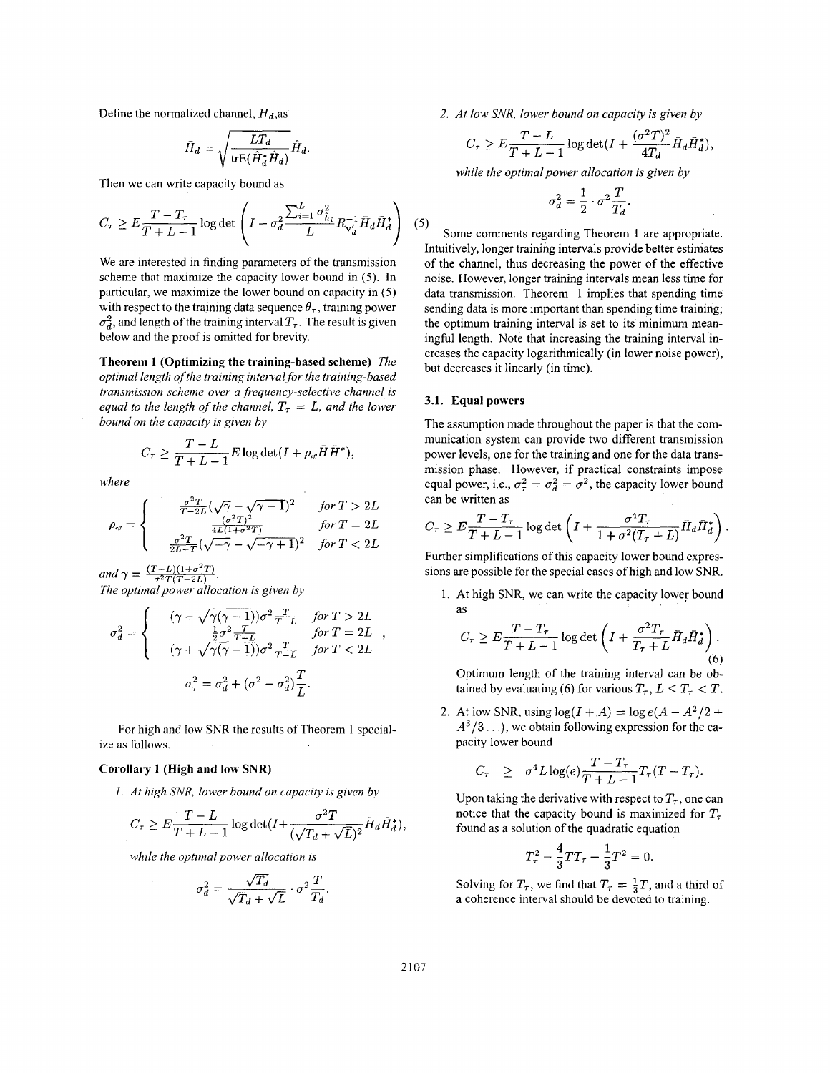Define the normalized channel,  $\bar{H}_d$ , as

$$
\bar{H}_d = \sqrt{\frac{LT_d}{\text{trE}(\hat{H}_d^* \hat{H}_d)}} \hat{H}_d.
$$

Then we can write capacity bound as

$$
C_{\tau} \ge E \frac{T - T_{\tau}}{T + L - 1} \log \det \left( I + \sigma_d^2 \frac{\sum_{i=1}^L \sigma_{\hat{h}_i}^2}{L} R_{\mathbf{v}_d'}^{-1} \bar{H}_d \bar{H}_d^* \right) (5)
$$

We are interested in finding parameters of the transmission scheme that maximize the capacity lower bound in (5). In particular, we maximize the lower bound on capacity in (5) with respect to the training data sequence  $\theta_{\tau}$ , training power  $\sigma_d^2$ , and length of the training interval  $T_{\tau}$ . The result is given below and the proof is omitted for brevity.

**Theorem 1 (Optimizing the training-based scheme)** *The optimal length of the training interval for the training-based transmission scheme over a frequency-selective channel is equal to the length of the channel,*  $T<sub>\tau</sub> = L$ *, and the lower bound on the capacity is given by* 

$$
C_{\tau}\geq \frac{T-L}{T+L-1}E\log\det(I+\rho_{\scriptscriptstyle eff}\bar{H}\tilde{H}^*),
$$

*where* 

$$
\varphi_{\theta} = \begin{cases}\n\frac{\sigma^2 T}{T - 2L} (\sqrt{\gamma} - \sqrt{\gamma - 1})^2 & \text{for } T > 2L \\
\frac{\sigma^2 T}{4L(1 + \sigma^2 T)} & \text{for } T \ge 2L \\
\frac{\sigma^2 T}{2L - T} (\sqrt{-\gamma} - \sqrt{-\gamma + 1})^2 & \text{for } T < 2L\n\end{cases}
$$
\n
$$
\text{Further simpling} \text{and } \gamma = \frac{(T - L)(1 + \sigma^2 T)}{2T(T - 2L)}.
$$
\n
$$
\text{The optimal power allocation is given by} \text{1. At high}
$$

$$
\sigma_d^2 = \begin{cases}\n(\gamma - \sqrt{\gamma(\gamma - 1)})\sigma^2 \frac{T}{T - L} & \text{for } T > 2L \\
\frac{\frac{1}{2}\sigma^2 \frac{T}{T - L}}{(\gamma + \sqrt{\gamma(\gamma - 1)})\sigma^2 \frac{T}{T - L} & \text{for } T < 2L\n\end{cases},
$$
\n
$$
\sigma_\tau^2 = \sigma_d^2 + (\sigma^2 - \sigma_d^2) \frac{T}{L}.
$$

For high and low SNR the results of Theorem 1 specialize as follows.

## **Corollary 1 (High and low SNR)**

*1. At high SNR, lower bound on capacity is given by* 

$$
C_{\tau} \ge E \frac{T-L}{T+L-1} \log \det(I + \frac{\sigma^2 T}{(\sqrt{T_d} + \sqrt{L})^2} \bar{H}_d \bar{H}_d^*),
$$

*while the optimal power allocation is* 

$$
\sigma_d^2 = \frac{\sqrt{T_d}}{\sqrt{T_d} + \sqrt{L}} \cdot \sigma^2 \frac{T}{T_d}
$$

*2. At low SNR, lower bound on capacity is given by* 

$$
C_{\tau} \ge E \frac{T-L}{T+L-1} \log \det(I + \frac{(\sigma^2 T)^2}{4T_d} \bar{H}_d \bar{H}_d^*),
$$

*while the optimal power allocation is given by* 

$$
\sigma_d^2 = \frac{1}{2} \cdot \sigma^2 \frac{T}{T_d}.
$$

Some comments regarding Theorem **1** are appropriate. Intuitively, longer training intervals provide better estimates of the channel, thus decreasing the power of the effective noise. However, longer training intervals mean less time for data transmission. Theorem **1** implies that spending time sending data is more important than spending time training; the optimum training interval is set to its minimum meaningful length. Note that increasing the training interval increases the capacity logarithmically (in lower noise power), but decreases it linearly (in time).

## **3.1. Equal powers**

The assumption made throughout the paper is that the communication system can provide two different transmission power levels, one for the training and one for the data transmission phase. However, if practical constraints impose equal power, i.e.,  $\sigma_{\tau}^2 = \sigma_d^2 = \sigma^2$ , the capacity lower bound can be written as

$$
C_{\tau} \ge E \frac{T - T_{\tau}}{T + L - 1} \log \det \left( I + \frac{\sigma^4 T_{\tau}}{1 + \sigma^2 (T_{\tau} + L)} \bar{H}_d \bar{H}_d^* \right).
$$

Further simplifications of this capacity lower bound expressions are possible for the special cases of high and low SNR.

**1.** At high SNR, we can write the capacity lower bound as

$$
C_{\tau} \ge E \frac{T - T_{\tau}}{T + L - 1} \log \det \left( I + \frac{\sigma^2 T_{\tau}}{T_{\tau} + L} \bar{H}_d \bar{H}_d^* \right). \tag{6}
$$

Optimum length of the training interval can be obtained by evaluating (6) for various  $T_{\tau}$ ,  $L < T_{\tau} < T$ .

2. At low SNR, using  $\log(I + A) = \log e(A - A^2/2 + A)$  $A^3/3$ ...), we obtain following expression for the capacity lower bound

$$
C_{\tau} \geq \sigma^4 L \log(e) \frac{T - T_{\tau}}{T + L - 1} T_{\tau} (T - T_{\tau}).
$$

Upon taking the derivative with respect to  $T_{\tau}$ , one can notice that the capacity bound is maximized for  $T_{\tau}$ found as a solution of the quadratic equation

$$
T_{\tau}^2-\frac{4}{3}TT_{\tau}+\frac{1}{3}T^2=0.
$$

Solving for  $T_{\tau}$ , we find that  $T_{\tau} = \frac{1}{3}T$ , and a third of a coherence interval should be devoted to training.